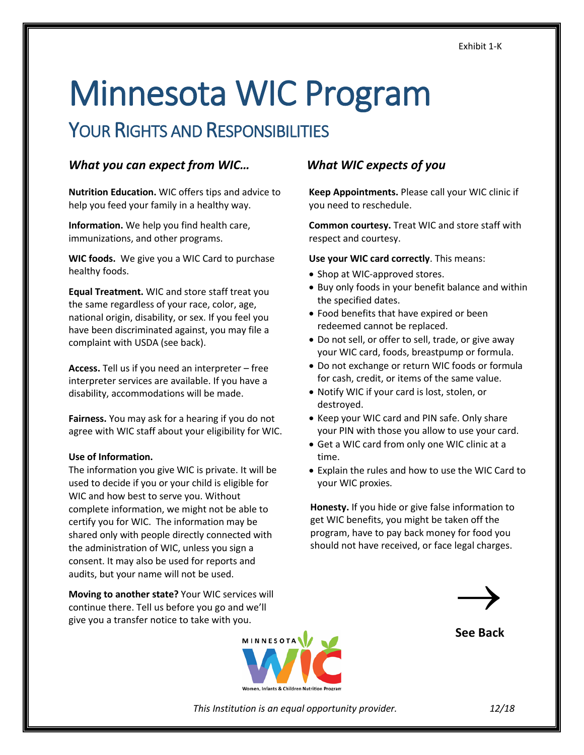# **Minnesota WIC Program**<br>Your RIGHTS AND RESPONSIBILITIES

# *What you can expect from WIC… What WIC expects of you*

**Nutrition Education.** WIC offers tips and advice to help you feed your family in a healthy way.

**Information.** We help you find health care, immunizations, and other programs.

**WIC foods.** We give you a WIC Card to purchase healthy foods.

**Equal Treatment.** WIC and store staff treat you the same regardless of your race, color, age, national origin, disability, or sex. If you feel you have been discriminated against, you may file a complaint with USDA (see back).

**Access.** Tell us if you need an interpreter – free interpreter services are available. If you have a disability, accommodations will be made.

**Fairness.** You may ask for a hearing if you do not agree with WIC staff about your eligibility for WIC.

# **Use of Information.**

The information you give WIC is private. It will be used to decide if you or your child is eligible for WIC and how best to serve you. Without complete information, we might not be able to certify you for WIC. The information may be shared only with people directly connected with the administration of WIC, unless you sign a consent. It may also be used for reports and audits, but your name will not be used.

**Moving to another state?** Your WIC services will continue there. Tell us before you go and we'll give you a transfer notice to take with you.

**Keep Appointments.** Please call your WIC clinic if you need to reschedule.

**Common courtesy.** Treat WIC and store staff with respect and courtesy.

**Use your WIC card correctly**. This means:

- Shop at WIC-approved stores.
- Buy only foods in your benefit balance and within the specified dates.
- Food benefits that have expired or been redeemed cannot be replaced.
- Do not sell, or offer to sell, trade, or give away your WIC card, foods, breastpump or formula.
- Do not exchange or return WIC foods or formula for cash, credit, or items of the same value.
- Notify WIC if your card is lost, stolen, or destroyed.
- Keep your WIC card and PIN safe. Only share your PIN with those you allow to use your card.
- Get a WIC card from only one WIC clinic at a time.
- Explain the rules and how to use the WIC Card to your WIC proxies.

**Honesty.** If you hide or give false information to get WIC benefits, you might be taken off the program, have to pay back money for food you should not have received, or face legal charges.







*This Institution is an equal opportunity provider. 12/18*